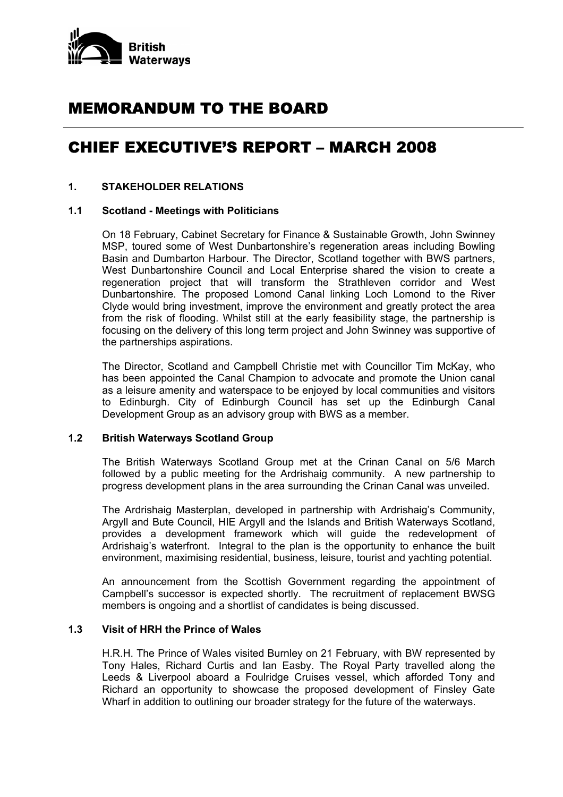

## MEMORANDUM TO THE BOARD

# CHIEF EXECUTIVE'S REPORT – MARCH 2008

## **1. STAKEHOLDER RELATIONS**

## **1.1 Scotland - Meetings with Politicians**

 On 18 February, Cabinet Secretary for Finance & Sustainable Growth, John Swinney MSP, toured some of West Dunbartonshire's regeneration areas including Bowling Basin and Dumbarton Harbour. The Director, Scotland together with BWS partners, West Dunbartonshire Council and Local Enterprise shared the vision to create a regeneration project that will transform the Strathleven corridor and West Dunbartonshire. The proposed Lomond Canal linking Loch Lomond to the River Clyde would bring investment, improve the environment and greatly protect the area from the risk of flooding. Whilst still at the early feasibility stage, the partnership is focusing on the delivery of this long term project and John Swinney was supportive of the partnerships aspirations.

 The Director, Scotland and Campbell Christie met with Councillor Tim McKay, who has been appointed the Canal Champion to advocate and promote the Union canal as a leisure amenity and waterspace to be enjoyed by local communities and visitors to Edinburgh. City of Edinburgh Council has set up the Edinburgh Canal Development Group as an advisory group with BWS as a member.

#### **1.2 British Waterways Scotland Group**

 The British Waterways Scotland Group met at the Crinan Canal on 5/6 March followed by a public meeting for the Ardrishaig community. A new partnership to progress development plans in the area surrounding the Crinan Canal was unveiled.

 The Ardrishaig Masterplan, developed in partnership with Ardrishaig's Community, Argyll and Bute Council, HIE Argyll and the Islands and British Waterways Scotland, provides a development framework which will guide the redevelopment of Ardrishaig's waterfront. Integral to the plan is the opportunity to enhance the built environment, maximising residential, business, leisure, tourist and yachting potential.

 An announcement from the Scottish Government regarding the appointment of Campbell's successor is expected shortly. The recruitment of replacement BWSG members is ongoing and a shortlist of candidates is being discussed.

#### **1.3 Visit of HRH the Prince of Wales**

 H.R.H. The Prince of Wales visited Burnley on 21 February, with BW represented by Tony Hales, Richard Curtis and Ian Easby. The Royal Party travelled along the Leeds & Liverpool aboard a Foulridge Cruises vessel, which afforded Tony and Richard an opportunity to showcase the proposed development of Finsley Gate Wharf in addition to outlining our broader strategy for the future of the waterways.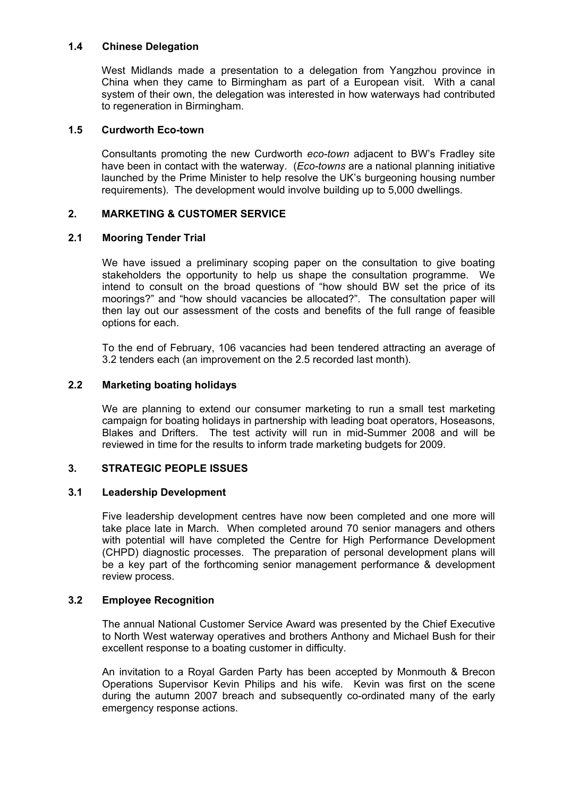## **1.4 Chinese Delegation**

 West Midlands made a presentation to a delegation from Yangzhou province in China when they came to Birmingham as part of a European visit. With a canal system of their own, the delegation was interested in how waterways had contributed to regeneration in Birmingham.

## **1.5 Curdworth Eco-town**

 Consultants promoting the new Curdworth *eco-town* adjacent to BW's Fradley site have been in contact with the waterway. (*Eco-towns* are a national planning initiative launched by the Prime Minister to help resolve the UK's burgeoning housing number requirements). The development would involve building up to 5,000 dwellings.

## **2. MARKETING & CUSTOMER SERVICE**

## **2.1 Mooring Tender Trial**

 We have issued a preliminary scoping paper on the consultation to give boating stakeholders the opportunity to help us shape the consultation programme. We intend to consult on the broad questions of "how should BW set the price of its moorings?" and "how should vacancies be allocated?". The consultation paper will then lay out our assessment of the costs and benefits of the full range of feasible options for each.

 To the end of February, 106 vacancies had been tendered attracting an average of 3.2 tenders each (an improvement on the 2.5 recorded last month).

## **2.2 Marketing boating holidays**

 We are planning to extend our consumer marketing to run a small test marketing campaign for boating holidays in partnership with leading boat operators, Hoseasons, Blakes and Drifters. The test activity will run in mid-Summer 2008 and will be reviewed in time for the results to inform trade marketing budgets for 2009.

## **3. STRATEGIC PEOPLE ISSUES**

## **3.1 Leadership Development**

 Five leadership development centres have now been completed and one more will take place late in March. When completed around 70 senior managers and others with potential will have completed the Centre for High Performance Development (CHPD) diagnostic processes. The preparation of personal development plans will be a key part of the forthcoming senior management performance & development review process.

#### **3.2 Employee Recognition**

 The annual National Customer Service Award was presented by the Chief Executive to North West waterway operatives and brothers Anthony and Michael Bush for their excellent response to a boating customer in difficulty.

 An invitation to a Royal Garden Party has been accepted by Monmouth & Brecon Operations Supervisor Kevin Philips and his wife. Kevin was first on the scene during the autumn 2007 breach and subsequently co-ordinated many of the early emergency response actions.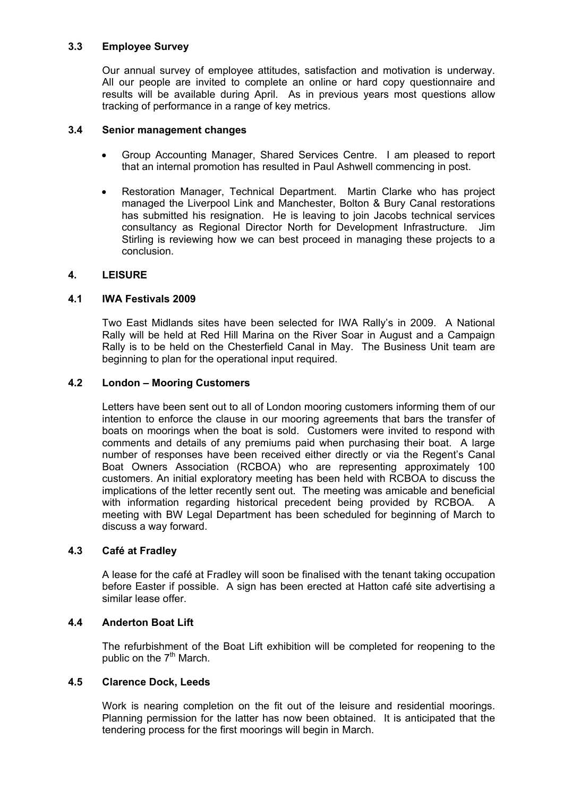## **3.3 Employee Survey**

 Our annual survey of employee attitudes, satisfaction and motivation is underway. All our people are invited to complete an online or hard copy questionnaire and results will be available during April. As in previous years most questions allow tracking of performance in a range of key metrics.

## **3.4 Senior management changes**

- Group Accounting Manager, Shared Services Centre. I am pleased to report that an internal promotion has resulted in Paul Ashwell commencing in post.
- Restoration Manager, Technical Department. Martin Clarke who has project managed the Liverpool Link and Manchester, Bolton & Bury Canal restorations has submitted his resignation. He is leaving to join Jacobs technical services consultancy as Regional Director North for Development Infrastructure. Jim Stirling is reviewing how we can best proceed in managing these projects to a conclusion.

## **4. LEISURE**

## **4.1 IWA Festivals 2009**

 Two East Midlands sites have been selected for IWA Rally's in 2009. A National Rally will be held at Red Hill Marina on the River Soar in August and a Campaign Rally is to be held on the Chesterfield Canal in May. The Business Unit team are beginning to plan for the operational input required.

## **4.2 London – Mooring Customers**

 Letters have been sent out to all of London mooring customers informing them of our intention to enforce the clause in our mooring agreements that bars the transfer of boats on moorings when the boat is sold. Customers were invited to respond with comments and details of any premiums paid when purchasing their boat. A large number of responses have been received either directly or via the Regent's Canal Boat Owners Association (RCBOA) who are representing approximately 100 customers. An initial exploratory meeting has been held with RCBOA to discuss the implications of the letter recently sent out. The meeting was amicable and beneficial with information regarding historical precedent being provided by RCBOA. A meeting with BW Legal Department has been scheduled for beginning of March to discuss a way forward.

#### **4.3 Café at Fradley**

 A lease for the café at Fradley will soon be finalised with the tenant taking occupation before Easter if possible. A sign has been erected at Hatton café site advertising a similar lease offer.

#### **4.4 Anderton Boat Lift**

 The refurbishment of the Boat Lift exhibition will be completed for reopening to the public on the  $7<sup>th</sup>$  March.

#### **4.5 Clarence Dock, Leeds**

 Work is nearing completion on the fit out of the leisure and residential moorings. Planning permission for the latter has now been obtained. It is anticipated that the tendering process for the first moorings will begin in March.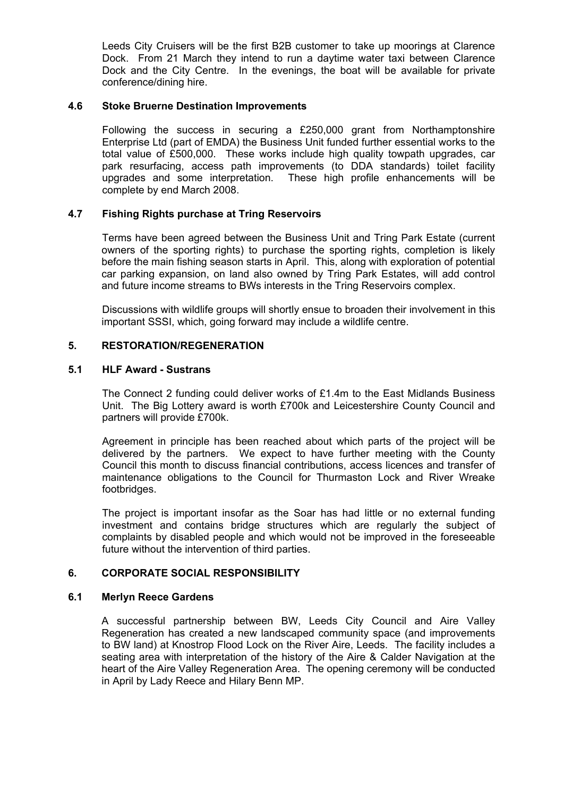Leeds City Cruisers will be the first B2B customer to take up moorings at Clarence Dock. From 21 March they intend to run a daytime water taxi between Clarence Dock and the City Centre. In the evenings, the boat will be available for private conference/dining hire.

## **4.6 Stoke Bruerne Destination Improvements**

Following the success in securing a £250,000 grant from Northamptonshire Enterprise Ltd (part of EMDA) the Business Unit funded further essential works to the total value of £500,000. These works include high quality towpath upgrades, car park resurfacing, access path improvements (to DDA standards) toilet facility upgrades and some interpretation. These high profile enhancements will be complete by end March 2008.

## **4.7 Fishing Rights purchase at Tring Reservoirs**

Terms have been agreed between the Business Unit and Tring Park Estate (current owners of the sporting rights) to purchase the sporting rights, completion is likely before the main fishing season starts in April. This, along with exploration of potential car parking expansion, on land also owned by Tring Park Estates, will add control and future income streams to BWs interests in the Tring Reservoirs complex.

Discussions with wildlife groups will shortly ensue to broaden their involvement in this important SSSI, which, going forward may include a wildlife centre.

## **5. RESTORATION/REGENERATION**

## **5.1 HLF Award - Sustrans**

The Connect 2 funding could deliver works of £1.4m to the East Midlands Business Unit. The Big Lottery award is worth £700k and Leicestershire County Council and partners will provide £700k.

 Agreement in principle has been reached about which parts of the project will be delivered by the partners. We expect to have further meeting with the County Council this month to discuss financial contributions, access licences and transfer of maintenance obligations to the Council for Thurmaston Lock and River Wreake footbridges.

 The project is important insofar as the Soar has had little or no external funding investment and contains bridge structures which are regularly the subject of complaints by disabled people and which would not be improved in the foreseeable future without the intervention of third parties.

#### **6. CORPORATE SOCIAL RESPONSIBILITY**

#### **6.1 Merlyn Reece Gardens**

 A successful partnership between BW, Leeds City Council and Aire Valley Regeneration has created a new landscaped community space (and improvements to BW land) at Knostrop Flood Lock on the River Aire, Leeds. The facility includes a seating area with interpretation of the history of the Aire & Calder Navigation at the heart of the Aire Valley Regeneration Area. The opening ceremony will be conducted in April by Lady Reece and Hilary Benn MP.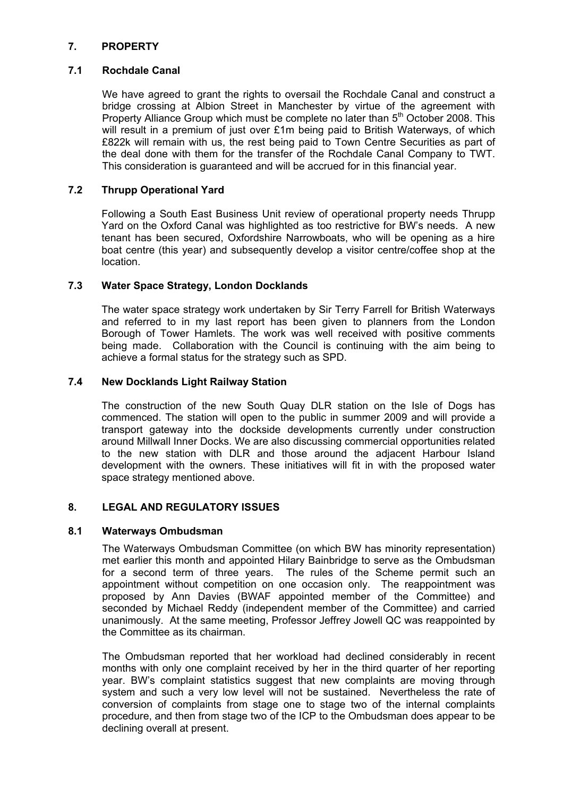## **7. PROPERTY**

## **7.1 Rochdale Canal**

We have agreed to grant the rights to oversail the Rochdale Canal and construct a bridge crossing at Albion Street in Manchester by virtue of the agreement with Property Alliance Group which must be complete no later than 5<sup>th</sup> October 2008. This will result in a premium of just over £1m being paid to British Waterways, of which £822k will remain with us, the rest being paid to Town Centre Securities as part of the deal done with them for the transfer of the Rochdale Canal Company to TWT. This consideration is guaranteed and will be accrued for in this financial year.

## **7.2 Thrupp Operational Yard**

Following a South East Business Unit review of operational property needs Thrupp Yard on the Oxford Canal was highlighted as too restrictive for BW's needs. A new tenant has been secured, Oxfordshire Narrowboats, who will be opening as a hire boat centre (this year) and subsequently develop a visitor centre/coffee shop at the location.

## **7.3 Water Space Strategy, London Docklands**

 The water space strategy work undertaken by Sir Terry Farrell for British Waterways and referred to in my last report has been given to planners from the London Borough of Tower Hamlets. The work was well received with positive comments being made. Collaboration with the Council is continuing with the aim being to achieve a formal status for the strategy such as SPD.

## **7.4 New Docklands Light Railway Station**

 The construction of the new South Quay DLR station on the Isle of Dogs has commenced. The station will open to the public in summer 2009 and will provide a transport gateway into the dockside developments currently under construction around Millwall Inner Docks. We are also discussing commercial opportunities related to the new station with DLR and those around the adjacent Harbour Island development with the owners. These initiatives will fit in with the proposed water space strategy mentioned above.

## **8. LEGAL AND REGULATORY ISSUES**

#### **8.1 Waterways Ombudsman**

The Waterways Ombudsman Committee (on which BW has minority representation) met earlier this month and appointed Hilary Bainbridge to serve as the Ombudsman for a second term of three years. The rules of the Scheme permit such an appointment without competition on one occasion only. The reappointment was proposed by Ann Davies (BWAF appointed member of the Committee) and seconded by Michael Reddy (independent member of the Committee) and carried unanimously. At the same meeting, Professor Jeffrey Jowell QC was reappointed by the Committee as its chairman.

The Ombudsman reported that her workload had declined considerably in recent months with only one complaint received by her in the third quarter of her reporting year. BW's complaint statistics suggest that new complaints are moving through system and such a very low level will not be sustained. Nevertheless the rate of conversion of complaints from stage one to stage two of the internal complaints procedure, and then from stage two of the ICP to the Ombudsman does appear to be declining overall at present.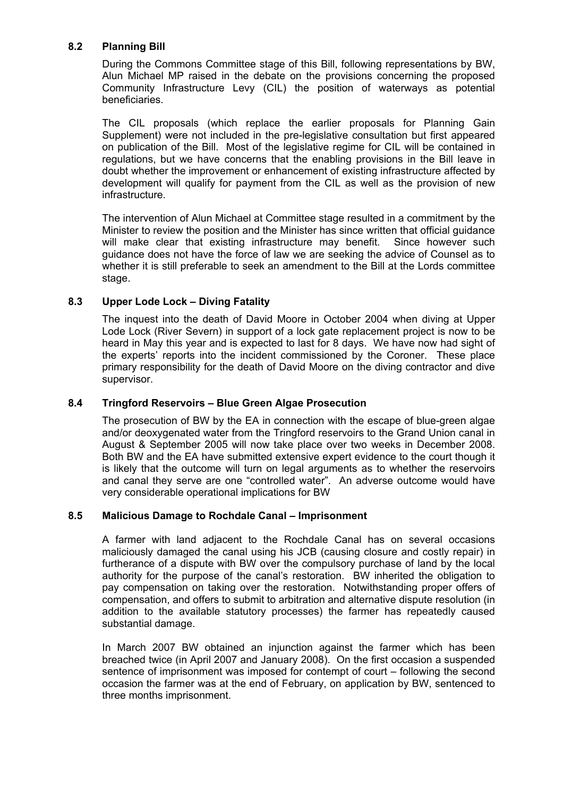## **8.2 Planning Bill**

During the Commons Committee stage of this Bill, following representations by BW, Alun Michael MP raised in the debate on the provisions concerning the proposed Community Infrastructure Levy (CIL) the position of waterways as potential beneficiaries.

The CIL proposals (which replace the earlier proposals for Planning Gain Supplement) were not included in the pre-legislative consultation but first appeared on publication of the Bill. Most of the legislative regime for CIL will be contained in regulations, but we have concerns that the enabling provisions in the Bill leave in doubt whether the improvement or enhancement of existing infrastructure affected by development will qualify for payment from the CIL as well as the provision of new infrastructure.

The intervention of Alun Michael at Committee stage resulted in a commitment by the Minister to review the position and the Minister has since written that official guidance will make clear that existing infrastructure may benefit. Since however such guidance does not have the force of law we are seeking the advice of Counsel as to whether it is still preferable to seek an amendment to the Bill at the Lords committee stage.

## **8.3 Upper Lode Lock – Diving Fatality**

The inquest into the death of David Moore in October 2004 when diving at Upper Lode Lock (River Severn) in support of a lock gate replacement project is now to be heard in May this year and is expected to last for 8 days. We have now had sight of the experts' reports into the incident commissioned by the Coroner. These place primary responsibility for the death of David Moore on the diving contractor and dive supervisor.

## **8.4 Tringford Reservoirs – Blue Green Algae Prosecution**

The prosecution of BW by the EA in connection with the escape of blue-green algae and/or deoxygenated water from the Tringford reservoirs to the Grand Union canal in August & September 2005 will now take place over two weeks in December 2008. Both BW and the EA have submitted extensive expert evidence to the court though it is likely that the outcome will turn on legal arguments as to whether the reservoirs and canal they serve are one "controlled water". An adverse outcome would have very considerable operational implications for BW

## **8.5 Malicious Damage to Rochdale Canal – Imprisonment**

A farmer with land adjacent to the Rochdale Canal has on several occasions maliciously damaged the canal using his JCB (causing closure and costly repair) in furtherance of a dispute with BW over the compulsory purchase of land by the local authority for the purpose of the canal's restoration. BW inherited the obligation to pay compensation on taking over the restoration. Notwithstanding proper offers of compensation, and offers to submit to arbitration and alternative dispute resolution (in addition to the available statutory processes) the farmer has repeatedly caused substantial damage.

In March 2007 BW obtained an injunction against the farmer which has been breached twice (in April 2007 and January 2008). On the first occasion a suspended sentence of imprisonment was imposed for contempt of court – following the second occasion the farmer was at the end of February, on application by BW, sentenced to three months imprisonment.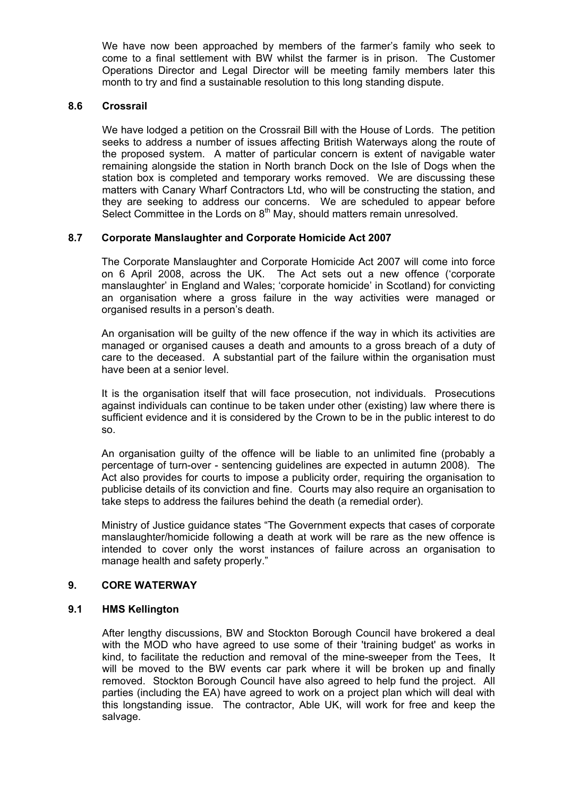We have now been approached by members of the farmer's family who seek to come to a final settlement with BW whilst the farmer is in prison. The Customer Operations Director and Legal Director will be meeting family members later this month to try and find a sustainable resolution to this long standing dispute.

## **8.6 Crossrail**

 We have lodged a petition on the Crossrail Bill with the House of Lords. The petition seeks to address a number of issues affecting British Waterways along the route of the proposed system. A matter of particular concern is extent of navigable water remaining alongside the station in North branch Dock on the Isle of Dogs when the station box is completed and temporary works removed. We are discussing these matters with Canary Wharf Contractors Ltd, who will be constructing the station, and they are seeking to address our concerns. We are scheduled to appear before Select Committee in the Lords on 8<sup>th</sup> May, should matters remain unresolved.

## **8.7 Corporate Manslaughter and Corporate Homicide Act 2007**

 The Corporate Manslaughter and Corporate Homicide Act 2007 will come into force on 6 April 2008, across the UK. The Act sets out a new offence ('corporate manslaughter' in England and Wales; 'corporate homicide' in Scotland) for convicting an organisation where a gross failure in the way activities were managed or organised results in a person's death.

 An organisation will be guilty of the new offence if the way in which its activities are managed or organised causes a death and amounts to a gross breach of a duty of care to the deceased. A substantial part of the failure within the organisation must have been at a senior level.

 It is the organisation itself that will face prosecution, not individuals. Prosecutions against individuals can continue to be taken under other (existing) law where there is sufficient evidence and it is considered by the Crown to be in the public interest to do so.

 An organisation guilty of the offence will be liable to an unlimited fine (probably a percentage of turn-over - sentencing guidelines are expected in autumn 2008). The Act also provides for courts to impose a publicity order, requiring the organisation to publicise details of its conviction and fine. Courts may also require an organisation to take steps to address the failures behind the death (a remedial order).

 Ministry of Justice guidance states "The Government expects that cases of corporate manslaughter/homicide following a death at work will be rare as the new offence is intended to cover only the worst instances of failure across an organisation to manage health and safety properly."

## **9. CORE WATERWAY**

#### **9.1 HMS Kellington**

 After lengthy discussions, BW and Stockton Borough Council have brokered a deal with the MOD who have agreed to use some of their 'training budget' as works in kind, to facilitate the reduction and removal of the mine-sweeper from the Tees, It will be moved to the BW events car park where it will be broken up and finally removed. Stockton Borough Council have also agreed to help fund the project. All parties (including the EA) have agreed to work on a project plan which will deal with this longstanding issue. The contractor, Able UK, will work for free and keep the salvage.